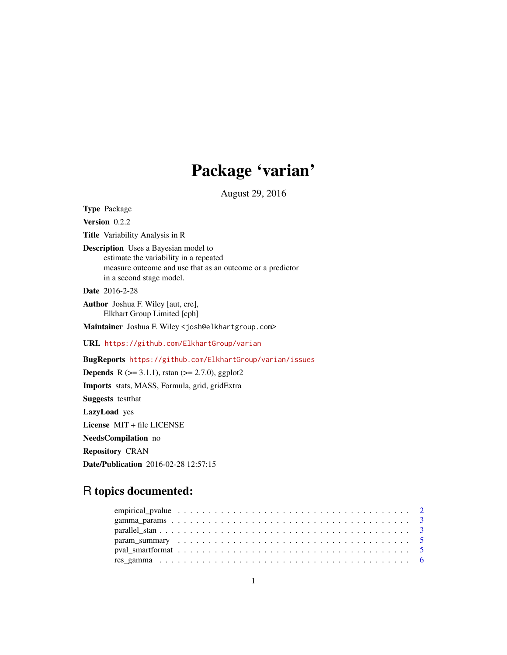# Package 'varian'

August 29, 2016

Type Package Version 0.2.2 Title Variability Analysis in R Description Uses a Bayesian model to estimate the variability in a repeated measure outcome and use that as an outcome or a predictor in a second stage model. Date 2016-2-28 Author Joshua F. Wiley [aut, cre], Elkhart Group Limited [cph] Maintainer Joshua F. Wiley <josh@elkhartgroup.com> URL <https://github.com/ElkhartGroup/varian> BugReports <https://github.com/ElkhartGroup/varian/issues> **Depends** R ( $>= 3.1.1$ ), rstan ( $>= 2.7.0$ ), ggplot2 Imports stats, MASS, Formula, grid, gridExtra Suggests testthat LazyLoad yes License MIT + file LICENSE NeedsCompilation no Repository CRAN

Date/Publication 2016-02-28 12:57:15

## R topics documented: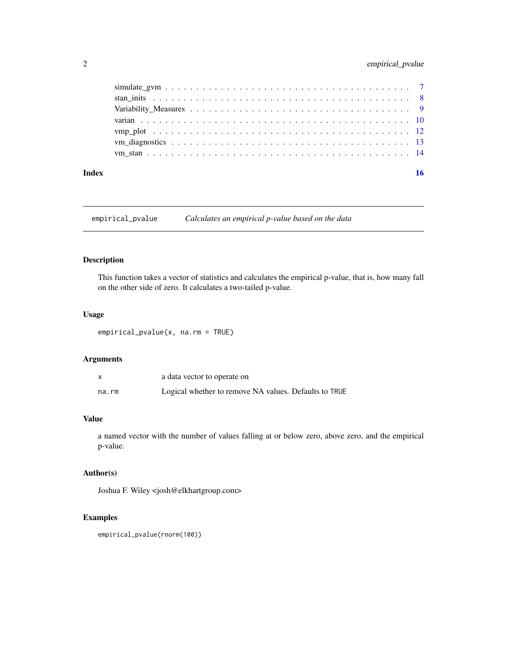## <span id="page-1-0"></span>2 empirical\_pvalue

#### **Index** and the contract of the contract of the contract of the contract of the contract of the contract of the contract of the contract of the contract of the contract of the contract of the contract of the contract of th

empirical\_pvalue *Calculates an empirical p-value based on the data*

## Description

This function takes a vector of statistics and calculates the empirical p-value, that is, how many fall on the other side of zero. It calculates a two-tailed p-value.

## Usage

empirical\_pvalue(x, na.rm = TRUE)

## Arguments

|       | a data vector to operate on                           |
|-------|-------------------------------------------------------|
| na.rm | Logical whether to remove NA values. Defaults to TRUE |

## Value

a named vector with the number of values falling at or below zero, above zero, and the empirical p-value.

## Author(s)

Joshua F. Wiley <josh@elkhartgroup.com>

## Examples

empirical\_pvalue(rnorm(100))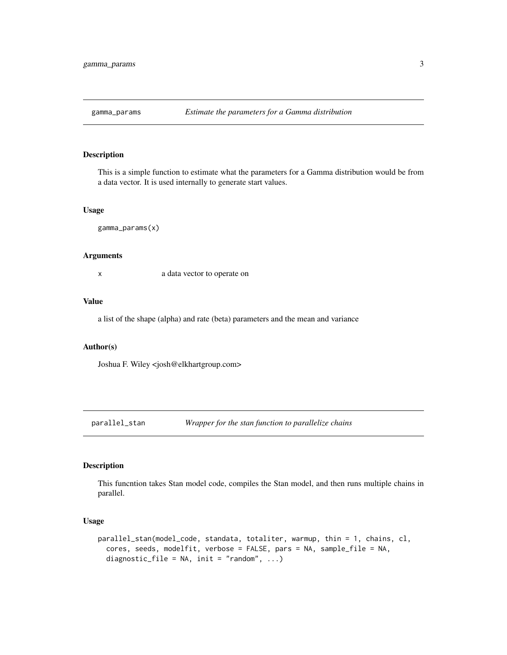<span id="page-2-0"></span>

This is a simple function to estimate what the parameters for a Gamma distribution would be from a data vector. It is used internally to generate start values.

#### Usage

gamma\_params(x)

#### Arguments

x a data vector to operate on

#### Value

a list of the shape (alpha) and rate (beta) parameters and the mean and variance

#### Author(s)

Joshua F. Wiley <josh@elkhartgroup.com>

parallel\_stan *Wrapper for the stan function to parallelize chains*

#### Description

This funcntion takes Stan model code, compiles the Stan model, and then runs multiple chains in parallel.

#### Usage

```
parallel_stan(model_code, standata, totaliter, warmup, thin = 1, chains, cl,
  cores, seeds, modelfit, verbose = FALSE, pars = NA, sample_file = NA,
  diagnostic_file = NA, init = "random", \ldots)
```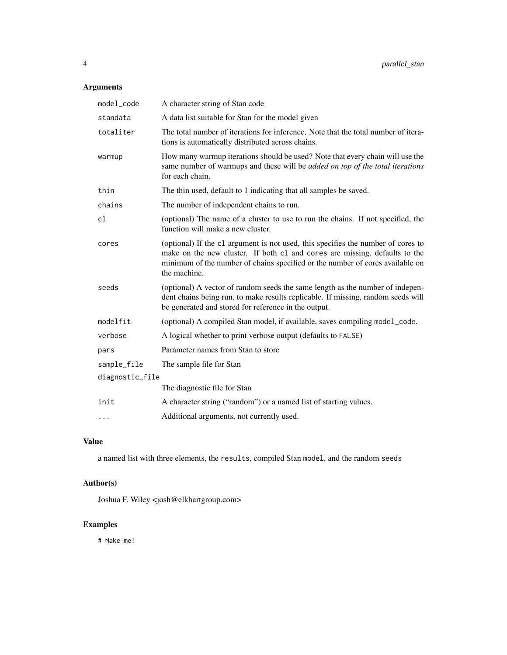## Arguments

| model_code      | A character string of Stan code                                                                                                                                                                                                                                 |
|-----------------|-----------------------------------------------------------------------------------------------------------------------------------------------------------------------------------------------------------------------------------------------------------------|
| standata        | A data list suitable for Stan for the model given                                                                                                                                                                                                               |
| totaliter       | The total number of iterations for inference. Note that the total number of itera-<br>tions is automatically distributed across chains.                                                                                                                         |
| warmup          | How many warmup iterations should be used? Note that every chain will use the<br>same number of warmups and these will be added on top of the total iterations<br>for each chain.                                                                               |
| thin            | The thin used, default to 1 indicating that all samples be saved.                                                                                                                                                                                               |
| chains          | The number of independent chains to run.                                                                                                                                                                                                                        |
| cl              | (optional) The name of a cluster to use to run the chains. If not specified, the<br>function will make a new cluster.                                                                                                                                           |
| cores           | (optional) If the c1 argument is not used, this specifies the number of cores to<br>make on the new cluster. If both c1 and cores are missing, defaults to the<br>minimum of the number of chains specified or the number of cores available on<br>the machine. |
| seeds           | (optional) A vector of random seeds the same length as the number of indepen-<br>dent chains being run, to make results replicable. If missing, random seeds will<br>be generated and stored for reference in the output.                                       |
| modelfit        | (optional) A compiled Stan model, if available, saves compiling model_code.                                                                                                                                                                                     |
| verbose         | A logical whether to print verbose output (defaults to FALSE)                                                                                                                                                                                                   |
| pars            | Parameter names from Stan to store                                                                                                                                                                                                                              |
| sample_file     | The sample file for Stan                                                                                                                                                                                                                                        |
| diagnostic_file |                                                                                                                                                                                                                                                                 |
|                 | The diagnostic file for Stan                                                                                                                                                                                                                                    |
| init            | A character string ("random") or a named list of starting values.                                                                                                                                                                                               |
| $\cdots$        | Additional arguments, not currently used.                                                                                                                                                                                                                       |

## Value

a named list with three elements, the results, compiled Stan model, and the random seeds

## Author(s)

Joshua F. Wiley <josh@elkhartgroup.com>

## Examples

# Make me!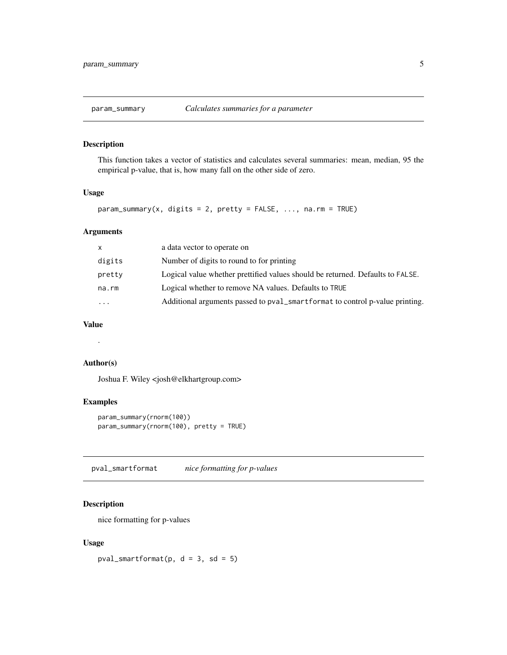<span id="page-4-0"></span>

This function takes a vector of statistics and calculates several summaries: mean, median, 95 the empirical p-value, that is, how many fall on the other side of zero.

#### Usage

```
param_summary(x, digits = 2, pretty = FALSE, ..., na.rm = TRUE)
```
## Arguments

| X        | a data vector to operate on                                                    |
|----------|--------------------------------------------------------------------------------|
| digits   | Number of digits to round to for printing                                      |
| pretty   | Logical value whether prettified values should be returned. Defaults to FALSE. |
| na.rm    | Logical whether to remove NA values. Defaults to TRUE                          |
| $\cdots$ | Additional arguments passed to pval_smartformat to control p-value printing.   |
|          |                                                                                |

## Value

.

## Author(s)

Joshua F. Wiley <josh@elkhartgroup.com>

## Examples

```
param_summary(rnorm(100))
param_summary(rnorm(100), pretty = TRUE)
```
pval\_smartformat *nice formatting for p-values*

#### Description

nice formatting for p-values

## Usage

pval\_smartformat( $p$ ,  $d = 3$ ,  $sd = 5$ )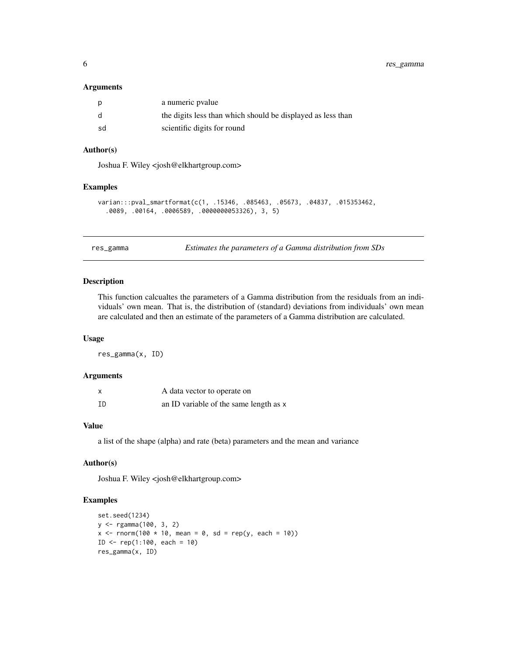#### <span id="page-5-0"></span>**Arguments**

|    | a numeric pvalue                                            |
|----|-------------------------------------------------------------|
|    | the digits less than which should be displayed as less than |
| sd | scientific digits for round                                 |

## Author(s)

Joshua F. Wiley <josh@elkhartgroup.com>

#### Examples

```
varian:::pval_smartformat(c(1, .15346, .085463, .05673, .04837, .015353462,
  .0089, .00164, .0006589, .0000000053326), 3, 5)
```
res\_gamma *Estimates the parameters of a Gamma distribution from SDs*

## Description

This function calcualtes the parameters of a Gamma distribution from the residuals from an individuals' own mean. That is, the distribution of (standard) deviations from individuals' own mean are calculated and then an estimate of the parameters of a Gamma distribution are calculated.

#### Usage

res\_gamma(x, ID)

#### Arguments

| x  | A data vector to operate on            |
|----|----------------------------------------|
| ID | an ID variable of the same length as x |

#### Value

a list of the shape (alpha) and rate (beta) parameters and the mean and variance

#### Author(s)

Joshua F. Wiley <josh@elkhartgroup.com>

## Examples

```
set.seed(1234)
y <- rgamma(100, 3, 2)
x \le - rnorm(100 * 10, mean = 0, sd = rep(y, each = 10))
ID \leftarrow rep(1:100, each = 10)res_gamma(x, ID)
```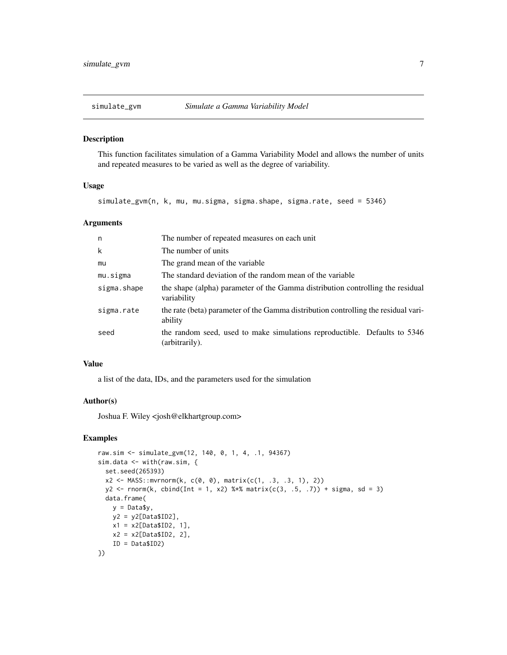<span id="page-6-0"></span>

This function facilitates simulation of a Gamma Variability Model and allows the number of units and repeated measures to be varied as well as the degree of variability.

#### Usage

simulate\_gvm(n, k, mu, mu.sigma, sigma.shape, sigma.rate, seed = 5346)

## Arguments

| n           | The number of repeated measures on each unit                                                  |
|-------------|-----------------------------------------------------------------------------------------------|
| k           | The number of units                                                                           |
| mu          | The grand mean of the variable.                                                               |
| mu.sigma    | The standard deviation of the random mean of the variable                                     |
| sigma.shape | the shape (alpha) parameter of the Gamma distribution controlling the residual<br>variability |
| sigma.rate  | the rate (beta) parameter of the Gamma distribution controlling the residual vari-<br>ability |
| seed        | the random seed, used to make simulations reproductible. Defaults to 5346<br>(arbitrarily).   |

#### Value

a list of the data, IDs, and the parameters used for the simulation

#### Author(s)

Joshua F. Wiley <josh@elkhartgroup.com>

#### Examples

```
raw.sim <- simulate_gvm(12, 140, 0, 1, 4, .1, 94367)
sim.data <- with(raw.sim, {
  set.seed(265393)
  x2 \leq MASS: <b>mvrnorm(k, c(0, 0), matrix(c(1, .3, .3, 1), 2))</b>y2 \le rnorm(k, cbind(Int = 1, x2) %*% matrix(c(3, .5, .7)) + sigma, sd = 3)
  data.frame(
   y = Data$y,
   y2 = y2[Data$ID2],
   x1 = x2[Data$ID2, 1],x2 = x2[Data$ID2, 2],ID = Data$ID2)
})
```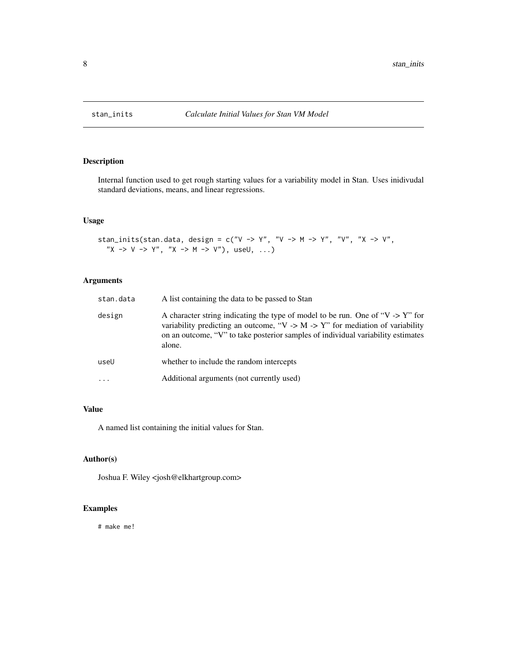<span id="page-7-0"></span>

Internal function used to get rough starting values for a variability model in Stan. Uses inidivudal standard deviations, means, and linear regressions.

#### Usage

```
stan_inits(stan.data, design = c("V -> Y", "V -> M -> Y", "V", "X -> V",
  X \rightarrow V \rightarrow Y'', "X -> M -> V"), useU, ...)
```
## Arguments

| stan.data | A list containing the data to be passed to Stan                                                                                                                                                                                                                            |
|-----------|----------------------------------------------------------------------------------------------------------------------------------------------------------------------------------------------------------------------------------------------------------------------------|
| design    | A character string indicating the type of model to be run. One of " $V \rightarrow Y$ " for<br>variability predicting an outcome, "V -> M -> Y" for mediation of variability<br>on an outcome, "V" to take posterior samples of individual variability estimates<br>alone. |
| useU      | whether to include the random intercepts                                                                                                                                                                                                                                   |
| $\cdots$  | Additional arguments (not currently used)                                                                                                                                                                                                                                  |

## Value

A named list containing the initial values for Stan.

## Author(s)

Joshua F. Wiley <josh@elkhartgroup.com>

## Examples

# make me!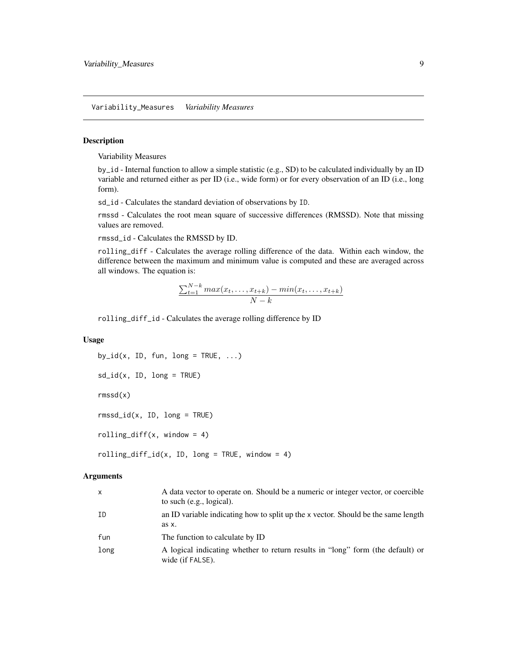<span id="page-8-0"></span>Variability\_Measures *Variability Measures*

## Description

Variability Measures

by\_id - Internal function to allow a simple statistic (e.g., SD) to be calculated individually by an ID variable and returned either as per ID (i.e., wide form) or for every observation of an ID (i.e., long form).

sd\_id - Calculates the standard deviation of observations by ID.

rmssd - Calculates the root mean square of successive differences (RMSSD). Note that missing values are removed.

rmssd\_id - Calculates the RMSSD by ID.

rolling\_diff - Calculates the average rolling difference of the data. Within each window, the difference between the maximum and minimum value is computed and these are averaged across all windows. The equation is:

$$
\frac{\sum_{t=1}^{N-k} max(x_t, \dots, x_{t+k}) - min(x_t, \dots, x_{t+k})}{N-k}
$$

rolling\_diff\_id - Calculates the average rolling difference by ID

## Usage

by\_id(x, ID, fun, long = TRUE,  $\ldots$ )

```
sd\_id(x, ID, long = TRUE)
```
rmssd(x)

 $rmssd_id(x, ID, long = TRUE)$ 

rolling\_diff(x, window =  $4$ )

rolling\_diff\_id(x, ID, long = TRUE, window = 4)

#### Arguments

| $\mathsf{x}$ | A data vector to operate on. Should be a numeric or integer vector, or coercible<br>to such $(e.g., logical)$ . |
|--------------|-----------------------------------------------------------------------------------------------------------------|
| ΙD           | an ID variable indicating how to split up the x vector. Should be the same length<br>as x.                      |
| fun          | The function to calculate by ID                                                                                 |
| long         | A logical indicating whether to return results in "long" form (the default) or<br>wide (if FALSE).              |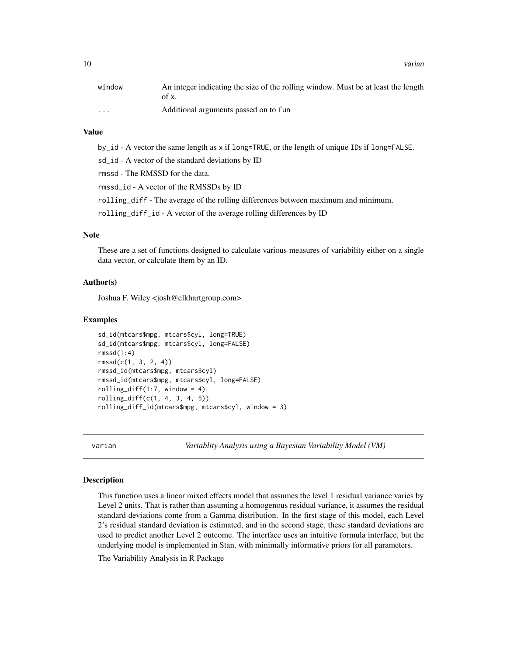<span id="page-9-0"></span>10 varian

| window                  | An integer indicating the size of the rolling window. Must be at least the length<br>of x. |
|-------------------------|--------------------------------------------------------------------------------------------|
| $\cdot$ $\cdot$ $\cdot$ | Additional arguments passed on to fun                                                      |

## Value

by\_id - A vector the same length as x if long=TRUE, or the length of unique IDs if long=FALSE.

sd\_id - A vector of the standard deviations by ID

rmssd - The RMSSD for the data.

rmssd\_id - A vector of the RMSSDs by ID

rolling\_diff - The average of the rolling differences between maximum and minimum.

rolling\_diff\_id - A vector of the average rolling differences by ID

## Note

These are a set of functions designed to calculate various measures of variability either on a single data vector, or calculate them by an ID.

#### Author(s)

Joshua F. Wiley <josh@elkhartgroup.com>

#### Examples

```
sd_id(mtcars$mpg, mtcars$cyl, long=TRUE)
sd_id(mtcars$mpg, mtcars$cyl, long=FALSE)
rmssd(1:4)rmssd(c(1, 3, 2, 4))
rmssd_id(mtcars$mpg, mtcars$cyl)
rmssd_id(mtcars$mpg, mtcars$cyl, long=FALSE)
rolling_diff(1:7, window = 4)
rolling_diff(c(1, 4, 3, 4, 5))
rolling_diff_id(mtcars$mpg, mtcars$cyl, window = 3)
```
varian *Variablity Analysis using a Bayesian Variability Model (VM)*

#### **Description**

This function uses a linear mixed effects model that assumes the level 1 residual variance varies by Level 2 units. That is rather than assuming a homogenous residual variance, it assumes the residual standard deviations come from a Gamma distribution. In the first stage of this model, each Level 2's residual standard deviation is estimated, and in the second stage, these standard deviations are used to predict another Level 2 outcome. The interface uses an intuitive formula interface, but the underlying model is implemented in Stan, with minimally informative priors for all parameters.

The Variability Analysis in R Package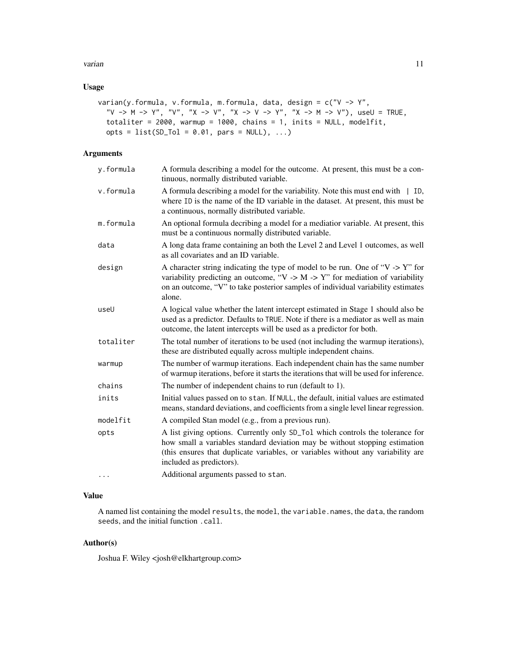#### varian termine and the contract of the contract of the contract of the contract of the contract of the contract of the contract of the contract of the contract of the contract of the contract of the contract of the contrac

## Usage

```
varian(y.formula, v.formula, m.formula, data, design = c("V -> Y",
  "V -> M -> Y", "V", "X -> V", "X -> V -> Y", "X -> M -> V"), useU = TRUE,
 totaliter = 2000, warmup = 1000, chains = 1, inits = NULL, modelfit,
 opts = list(SD_Tol = 0.01, pars = NULL), ...
```
## Arguments

| A formula describing a model for the outcome. At present, this must be a con-<br>tinuous, normally distributed variable.                                                                                                                                                     |
|------------------------------------------------------------------------------------------------------------------------------------------------------------------------------------------------------------------------------------------------------------------------------|
| A formula describing a model for the variability. Note this must end with $\parallel$ ID,<br>where ID is the name of the ID variable in the dataset. At present, this must be<br>a continuous, normally distributed variable.                                                |
| An optional formula decribing a model for a mediatior variable. At present, this<br>must be a continuous normally distributed variable.                                                                                                                                      |
| A long data frame containing an both the Level 2 and Level 1 outcomes, as well<br>as all covariates and an ID variable.                                                                                                                                                      |
| A character string indicating the type of model to be run. One of " $V > Y$ " for<br>variability predicting an outcome, "V -> M -> Y" for mediation of variability<br>on an outcome, "V" to take posterior samples of individual variability estimates<br>alone.             |
| A logical value whether the latent intercept estimated in Stage 1 should also be<br>used as a predictor. Defaults to TRUE. Note if there is a mediator as well as main<br>outcome, the latent intercepts will be used as a predictor for both.                               |
| The total number of iterations to be used (not including the warmup iterations),<br>these are distributed equally across multiple independent chains.                                                                                                                        |
| The number of warmup iterations. Each independent chain has the same number<br>of warmup iterations, before it starts the iterations that will be used for inference.                                                                                                        |
| The number of independent chains to run (default to 1).                                                                                                                                                                                                                      |
| Initial values passed on to stan. If NULL, the default, initial values are estimated<br>means, standard deviations, and coefficients from a single level linear regression.                                                                                                  |
| A compiled Stan model (e.g., from a previous run).                                                                                                                                                                                                                           |
| A list giving options. Currently only SD_To1 which controls the tolerance for<br>how small a variables standard deviation may be without stopping estimation<br>(this ensures that duplicate variables, or variables without any variability are<br>included as predictors). |
| Additional arguments passed to stan.                                                                                                                                                                                                                                         |
|                                                                                                                                                                                                                                                                              |

## Value

A named list containing the model results, the model, the variable.names, the data, the random seeds, and the initial function .call.

## Author(s)

Joshua F. Wiley <josh@elkhartgroup.com>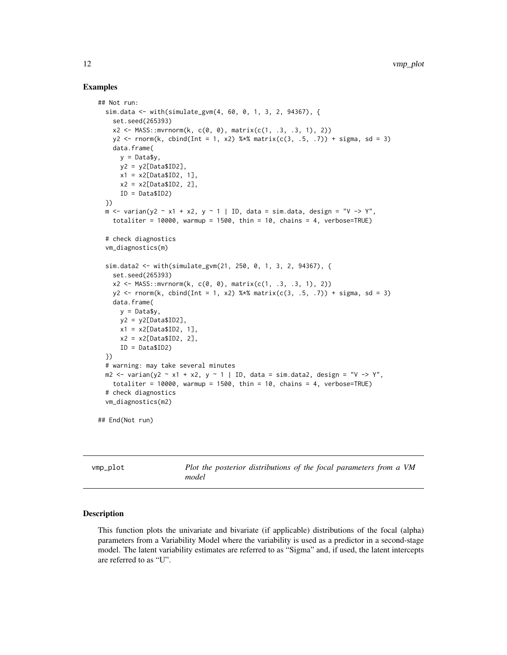#### Examples

```
## Not run:
 sim.data <- with(simulate_gvm(4, 60, 0, 1, 3, 2, 94367), {
   set.seed(265393)
   x2 \leq - MASS:: mvrnorm(k, c(0, 0), matrix(c(1, .3, .3, 1), 2))
   y2 \le rnorm(k, cbind(Int = 1, x2) %*% matrix(c(3, .5, .7)) + sigma, sd = 3)
   data.frame(
      y =Data$y,
      y2 = y2[Data$ID2],x1 = x2[Data$ID2, 1],x2 = x2[Data$ID2, 2],ID = Data$ID2)
 })
 m \le - varian(y2 \sim x1 + x2, y \sim 1 | ID, data = sim.data, design = "V -> Y",
   totaliter = 10000, warmup = 1500, thin = 10, chains = 4, verbose=TRUE)
 # check diagnostics
 vm_diagnostics(m)
 sim.data2 <- with(simulate_gvm(21, 250, 0, 1, 3, 2, 94367), {
    set.seed(265393)
   x2 \leq MASS::mvrnorm(k, c(0, 0), matrix(c(1, .3, .3, 1), 2))y2 \le rnorm(k, cbind(Int = 1, x2) %*% matrix(c(3, .5, .7)) + sigma, sd = 3)
   data.frame(
     y = Data$y,
     y2 = y2[Data$ID2],x1 = x2[Data$ID2, 1],x2 = x2[Data$ID2, 2],ID = Data$ID2)
 })
 # warning: may take several minutes
 m2 \le - varian(y2 \sim x1 + x2, y \sim 1 | ID, data = sim.data2, design = "V -> Y",
   totaliter = 10000, warmup = 1500, thin = 10, chains = 4, verbose=TRUE)
 # check diagnostics
 vm_diagnostics(m2)
## End(Not run)
```
vmp\_plot *Plot the posterior distributions of the focal parameters from a VM model*

#### **Description**

This function plots the univariate and bivariate (if applicable) distributions of the focal (alpha) parameters from a Variability Model where the variability is used as a predictor in a second-stage model. The latent variability estimates are referred to as "Sigma" and, if used, the latent intercepts are referred to as "U".

<span id="page-11-0"></span>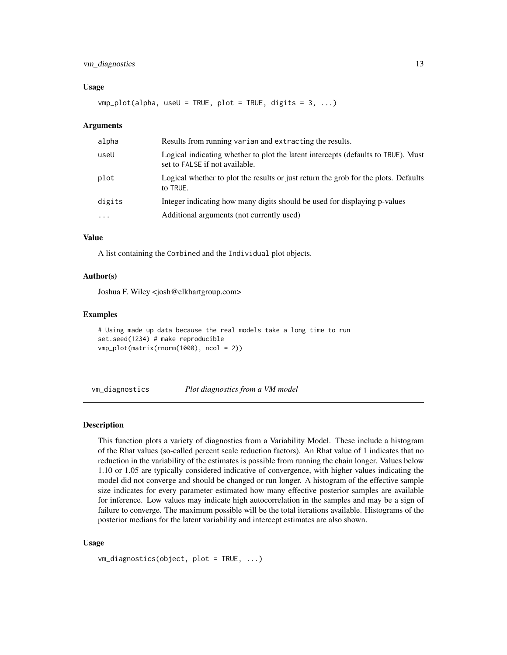## <span id="page-12-0"></span>vm\_diagnostics 13

#### Usage

vmp\_plot(alpha, useU = TRUE, plot = TRUE, digits = 3, ...)

#### Arguments

| alpha    | Results from running varian and extracting the results.                                                             |
|----------|---------------------------------------------------------------------------------------------------------------------|
| useU     | Logical indicating whether to plot the latent intercepts (defaults to TRUE). Must<br>set to FALSE if not available. |
| plot     | Logical whether to plot the results or just return the grob for the plots. Defaults<br>to TRUE.                     |
| digits   | Integer indicating how many digits should be used for displaying p-values                                           |
| $\cdots$ | Additional arguments (not currently used)                                                                           |

#### Value

A list containing the Combined and the Individual plot objects.

#### Author(s)

Joshua F. Wiley <josh@elkhartgroup.com>

#### Examples

```
# Using made up data because the real models take a long time to run
set.seed(1234) # make reproducible
vmp_plot(matrix(rnorm(1000), ncol = 2))
```
vm\_diagnostics *Plot diagnostics from a VM model*

#### Description

This function plots a variety of diagnostics from a Variability Model. These include a histogram of the Rhat values (so-called percent scale reduction factors). An Rhat value of 1 indicates that no reduction in the variability of the estimates is possible from running the chain longer. Values below 1.10 or 1.05 are typically considered indicative of convergence, with higher values indicating the model did not converge and should be changed or run longer. A histogram of the effective sample size indicates for every parameter estimated how many effective posterior samples are available for inference. Low values may indicate high autocorrelation in the samples and may be a sign of failure to converge. The maximum possible will be the total iterations available. Histograms of the posterior medians for the latent variability and intercept estimates are also shown.

#### Usage

```
vm_diagnostics(object, plot = TRUE, ...)
```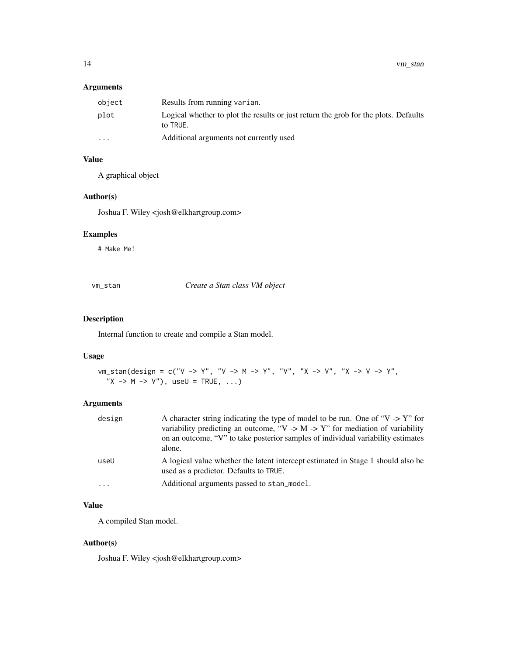## <span id="page-13-0"></span>Arguments

| object                  | Results from running varian.                                                                    |
|-------------------------|-------------------------------------------------------------------------------------------------|
| plot                    | Logical whether to plot the results or just return the grob for the plots. Defaults<br>to TRUE. |
| $\cdot$ $\cdot$ $\cdot$ | Additional arguments not currently used                                                         |

## Value

A graphical object

## Author(s)

Joshua F. Wiley <josh@elkhartgroup.com>

## Examples

# Make Me!

vm\_stan *Create a Stan class VM object*

## Description

Internal function to create and compile a Stan model.

#### Usage

```
vm\_stan(design = c("V -> Y", "V -> M -> Y", "V", "X -> V", "X -> V -> Y -Y","X \rightarrow M \rightarrow V"), useU = TRUE, ...)
```
## Arguments

| design | A character string indicating the type of model to be run. One of " $V > Y$ " for<br>variability predicting an outcome, "V -> M -> Y" for mediation of variability<br>on an outcome, "V" to take posterior samples of individual variability estimates<br>alone. |
|--------|------------------------------------------------------------------------------------------------------------------------------------------------------------------------------------------------------------------------------------------------------------------|
| useU   | A logical value whether the latent intercept estimated in Stage 1 should also be<br>used as a predictor. Defaults to TRUE.                                                                                                                                       |
| .      | Additional arguments passed to stan_model.                                                                                                                                                                                                                       |

## Value

A compiled Stan model.

#### Author(s)

Joshua F. Wiley <josh@elkhartgroup.com>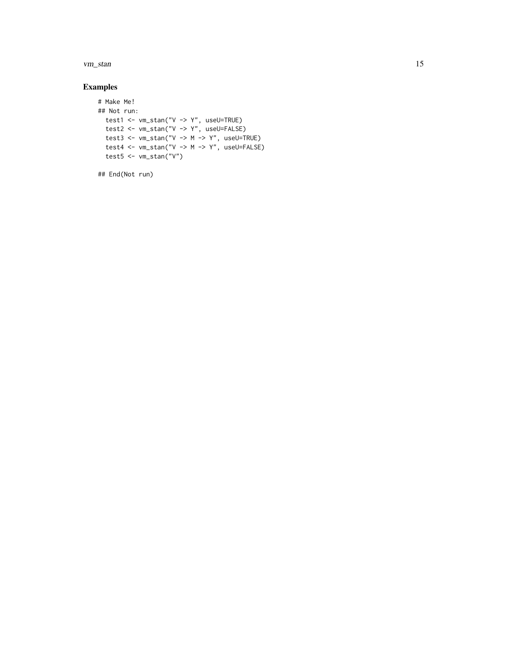vm\_stan 15

## Examples

```
# Make Me!
## Not run:
 test1 <- vm_stan("V -> Y", useU=TRUE)
test2 <- vm_stan("V -> Y", useU=FALSE)
test3 <- vm_stan("V -> M -> Y", useU=TRUE)
 test4 <- vm_stan("V -> M -> Y", useU=FALSE)
 test5 <- vm_stan("V")
```
## End(Not run)